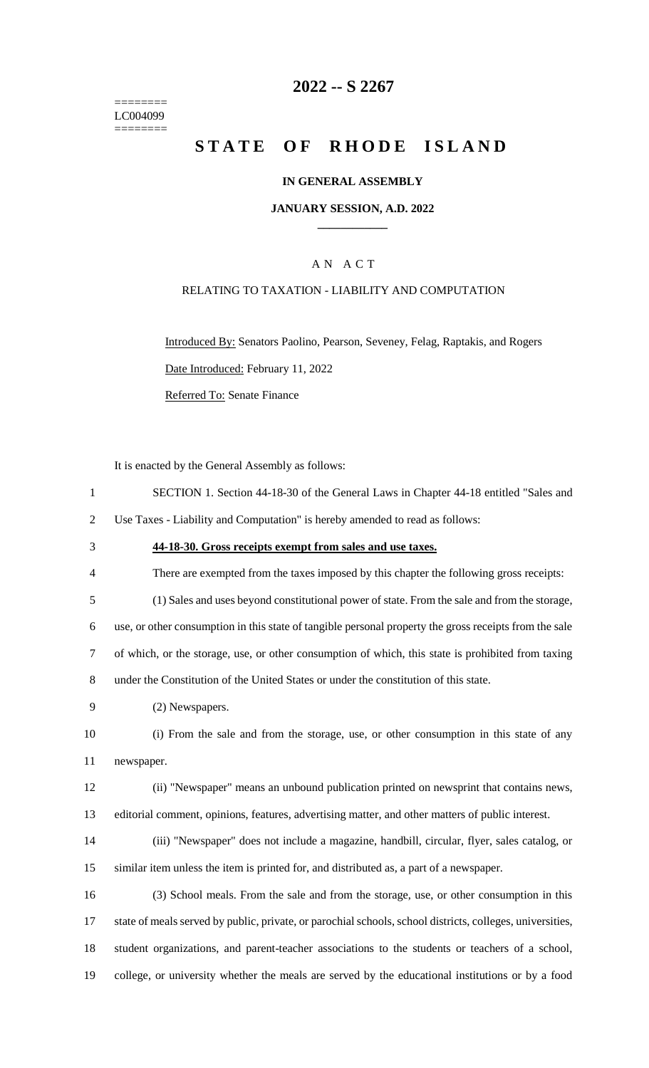======== LC004099  $=$ 

### **-- S 2267**

# **STATE OF RHODE ISLAND**

### **IN GENERAL ASSEMBLY**

#### **JANUARY SESSION, A.D. 2022 \_\_\_\_\_\_\_\_\_\_\_\_**

### A N A C T

### RELATING TO TAXATION - LIABILITY AND COMPUTATION

Introduced By: Senators Paolino, Pearson, Seveney, Felag, Raptakis, and Rogers Date Introduced: February 11, 2022 Referred To: Senate Finance

It is enacted by the General Assembly as follows:

| $\mathbf{1}$   | SECTION 1. Section 44-18-30 of the General Laws in Chapter 44-18 entitled "Sales and                      |
|----------------|-----------------------------------------------------------------------------------------------------------|
| $\overline{2}$ | Use Taxes - Liability and Computation" is hereby amended to read as follows:                              |
| 3              | 44-18-30. Gross receipts exempt from sales and use taxes.                                                 |
| $\overline{4}$ | There are exempted from the taxes imposed by this chapter the following gross receipts:                   |
| 5              | (1) Sales and uses beyond constitutional power of state. From the sale and from the storage,              |
| 6              | use, or other consumption in this state of tangible personal property the gross receipts from the sale    |
| $\tau$         | of which, or the storage, use, or other consumption of which, this state is prohibited from taxing        |
| $8\,$          | under the Constitution of the United States or under the constitution of this state.                      |
| 9              | (2) Newspapers.                                                                                           |
| 10             | (i) From the sale and from the storage, use, or other consumption in this state of any                    |
| 11             | newspaper.                                                                                                |
| 12             | (ii) "Newspaper" means an unbound publication printed on newsprint that contains news,                    |
| 13             | editorial comment, opinions, features, advertising matter, and other matters of public interest.          |
| 14             | (iii) "Newspaper" does not include a magazine, handbill, circular, flyer, sales catalog, or               |
| 15             | similar item unless the item is printed for, and distributed as, a part of a newspaper.                   |
| 16             | (3) School meals. From the sale and from the storage, use, or other consumption in this                   |
| 17             | state of meals served by public, private, or parochial schools, school districts, colleges, universities, |
| 18             | student organizations, and parent-teacher associations to the students or teachers of a school,           |
| 19             | college, or university whether the meals are served by the educational institutions or by a food          |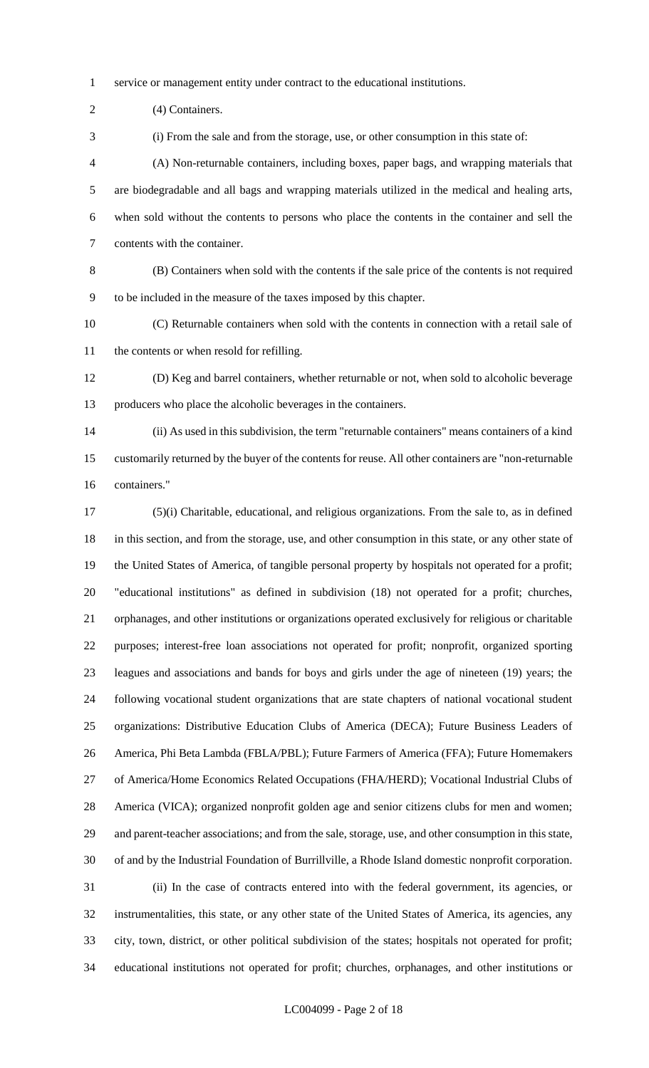service or management entity under contract to the educational institutions.

2 (4) Containers.

(i) From the sale and from the storage, use, or other consumption in this state of:

 (A) Non-returnable containers, including boxes, paper bags, and wrapping materials that are biodegradable and all bags and wrapping materials utilized in the medical and healing arts, when sold without the contents to persons who place the contents in the container and sell the contents with the container.

 (B) Containers when sold with the contents if the sale price of the contents is not required to be included in the measure of the taxes imposed by this chapter.

 (C) Returnable containers when sold with the contents in connection with a retail sale of the contents or when resold for refilling.

 (D) Keg and barrel containers, whether returnable or not, when sold to alcoholic beverage producers who place the alcoholic beverages in the containers.

 (ii) As used in this subdivision, the term "returnable containers" means containers of a kind customarily returned by the buyer of the contents for reuse. All other containers are "non-returnable containers."

 (5)(i) Charitable, educational, and religious organizations. From the sale to, as in defined in this section, and from the storage, use, and other consumption in this state, or any other state of the United States of America, of tangible personal property by hospitals not operated for a profit; "educational institutions" as defined in subdivision (18) not operated for a profit; churches, orphanages, and other institutions or organizations operated exclusively for religious or charitable purposes; interest-free loan associations not operated for profit; nonprofit, organized sporting leagues and associations and bands for boys and girls under the age of nineteen (19) years; the following vocational student organizations that are state chapters of national vocational student organizations: Distributive Education Clubs of America (DECA); Future Business Leaders of America, Phi Beta Lambda (FBLA/PBL); Future Farmers of America (FFA); Future Homemakers of America/Home Economics Related Occupations (FHA/HERD); Vocational Industrial Clubs of America (VICA); organized nonprofit golden age and senior citizens clubs for men and women; and parent-teacher associations; and from the sale, storage, use, and other consumption in this state, of and by the Industrial Foundation of Burrillville, a Rhode Island domestic nonprofit corporation. (ii) In the case of contracts entered into with the federal government, its agencies, or instrumentalities, this state, or any other state of the United States of America, its agencies, any city, town, district, or other political subdivision of the states; hospitals not operated for profit; educational institutions not operated for profit; churches, orphanages, and other institutions or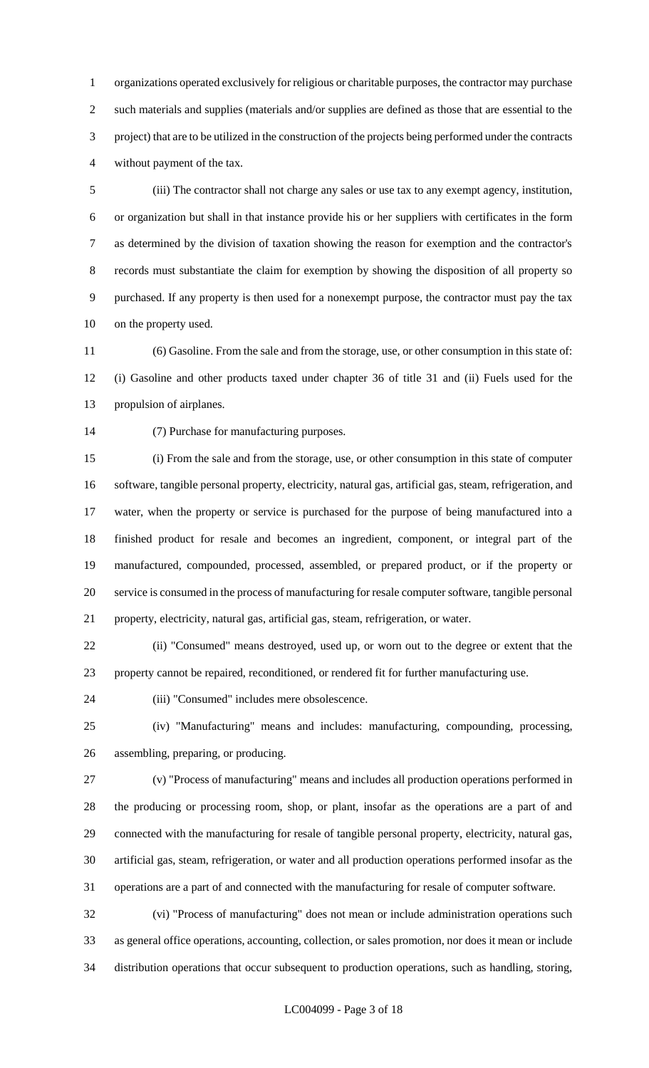organizations operated exclusively for religious or charitable purposes, the contractor may purchase such materials and supplies (materials and/or supplies are defined as those that are essential to the project) that are to be utilized in the construction of the projects being performed under the contracts without payment of the tax.

 (iii) The contractor shall not charge any sales or use tax to any exempt agency, institution, or organization but shall in that instance provide his or her suppliers with certificates in the form as determined by the division of taxation showing the reason for exemption and the contractor's records must substantiate the claim for exemption by showing the disposition of all property so purchased. If any property is then used for a nonexempt purpose, the contractor must pay the tax on the property used.

 (6) Gasoline. From the sale and from the storage, use, or other consumption in this state of: (i) Gasoline and other products taxed under chapter 36 of title 31 and (ii) Fuels used for the propulsion of airplanes.

(7) Purchase for manufacturing purposes.

 (i) From the sale and from the storage, use, or other consumption in this state of computer software, tangible personal property, electricity, natural gas, artificial gas, steam, refrigeration, and water, when the property or service is purchased for the purpose of being manufactured into a finished product for resale and becomes an ingredient, component, or integral part of the manufactured, compounded, processed, assembled, or prepared product, or if the property or service is consumed in the process of manufacturing for resale computer software, tangible personal property, electricity, natural gas, artificial gas, steam, refrigeration, or water.

 (ii) "Consumed" means destroyed, used up, or worn out to the degree or extent that the property cannot be repaired, reconditioned, or rendered fit for further manufacturing use.

(iii) "Consumed" includes mere obsolescence.

 (iv) "Manufacturing" means and includes: manufacturing, compounding, processing, assembling, preparing, or producing.

 (v) "Process of manufacturing" means and includes all production operations performed in the producing or processing room, shop, or plant, insofar as the operations are a part of and connected with the manufacturing for resale of tangible personal property, electricity, natural gas, artificial gas, steam, refrigeration, or water and all production operations performed insofar as the operations are a part of and connected with the manufacturing for resale of computer software.

 (vi) "Process of manufacturing" does not mean or include administration operations such as general office operations, accounting, collection, or sales promotion, nor does it mean or include distribution operations that occur subsequent to production operations, such as handling, storing,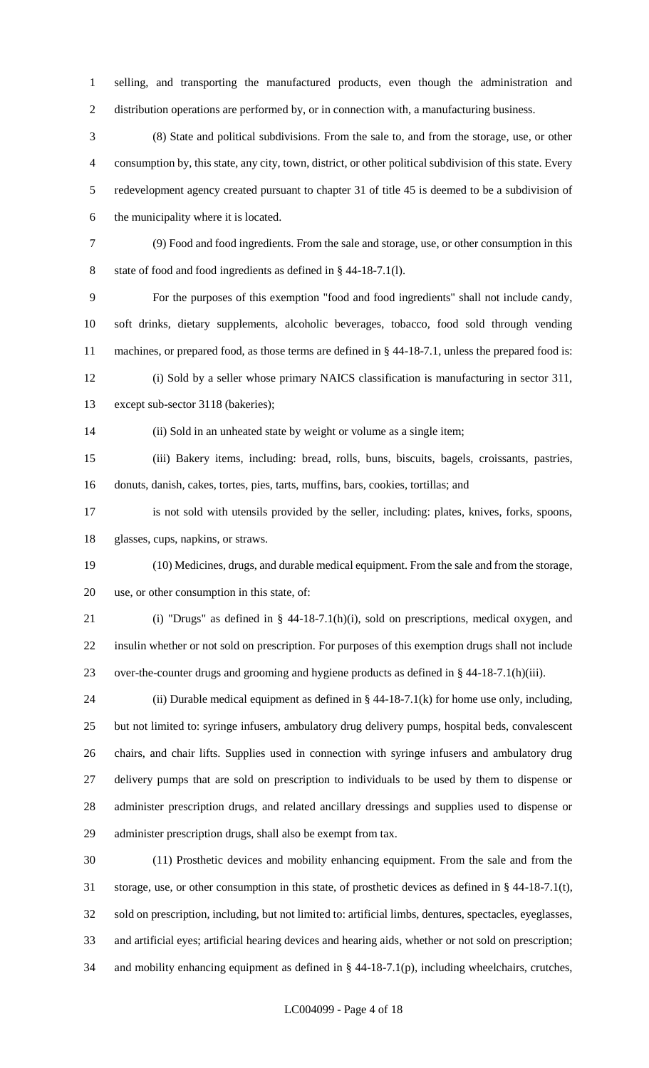selling, and transporting the manufactured products, even though the administration and distribution operations are performed by, or in connection with, a manufacturing business.

 (8) State and political subdivisions. From the sale to, and from the storage, use, or other consumption by, this state, any city, town, district, or other political subdivision of this state. Every redevelopment agency created pursuant to chapter 31 of title 45 is deemed to be a subdivision of the municipality where it is located.

 (9) Food and food ingredients. From the sale and storage, use, or other consumption in this state of food and food ingredients as defined in § 44-18-7.1(l).

 For the purposes of this exemption "food and food ingredients" shall not include candy, soft drinks, dietary supplements, alcoholic beverages, tobacco, food sold through vending machines, or prepared food, as those terms are defined in § 44-18-7.1, unless the prepared food is:

 (i) Sold by a seller whose primary NAICS classification is manufacturing in sector 311, except sub-sector 3118 (bakeries);

(ii) Sold in an unheated state by weight or volume as a single item;

 (iii) Bakery items, including: bread, rolls, buns, biscuits, bagels, croissants, pastries, donuts, danish, cakes, tortes, pies, tarts, muffins, bars, cookies, tortillas; and

 is not sold with utensils provided by the seller, including: plates, knives, forks, spoons, glasses, cups, napkins, or straws.

 (10) Medicines, drugs, and durable medical equipment. From the sale and from the storage, use, or other consumption in this state, of:

 (i) "Drugs" as defined in § 44-18-7.1(h)(i), sold on prescriptions, medical oxygen, and insulin whether or not sold on prescription. For purposes of this exemption drugs shall not include over-the-counter drugs and grooming and hygiene products as defined in § 44-18-7.1(h)(iii).

 (ii) Durable medical equipment as defined in § 44-18-7.1(k) for home use only, including, but not limited to: syringe infusers, ambulatory drug delivery pumps, hospital beds, convalescent chairs, and chair lifts. Supplies used in connection with syringe infusers and ambulatory drug delivery pumps that are sold on prescription to individuals to be used by them to dispense or administer prescription drugs, and related ancillary dressings and supplies used to dispense or administer prescription drugs, shall also be exempt from tax.

 (11) Prosthetic devices and mobility enhancing equipment. From the sale and from the storage, use, or other consumption in this state, of prosthetic devices as defined in § 44-18-7.1(t), sold on prescription, including, but not limited to: artificial limbs, dentures, spectacles, eyeglasses, and artificial eyes; artificial hearing devices and hearing aids, whether or not sold on prescription; and mobility enhancing equipment as defined in § 44-18-7.1(p), including wheelchairs, crutches,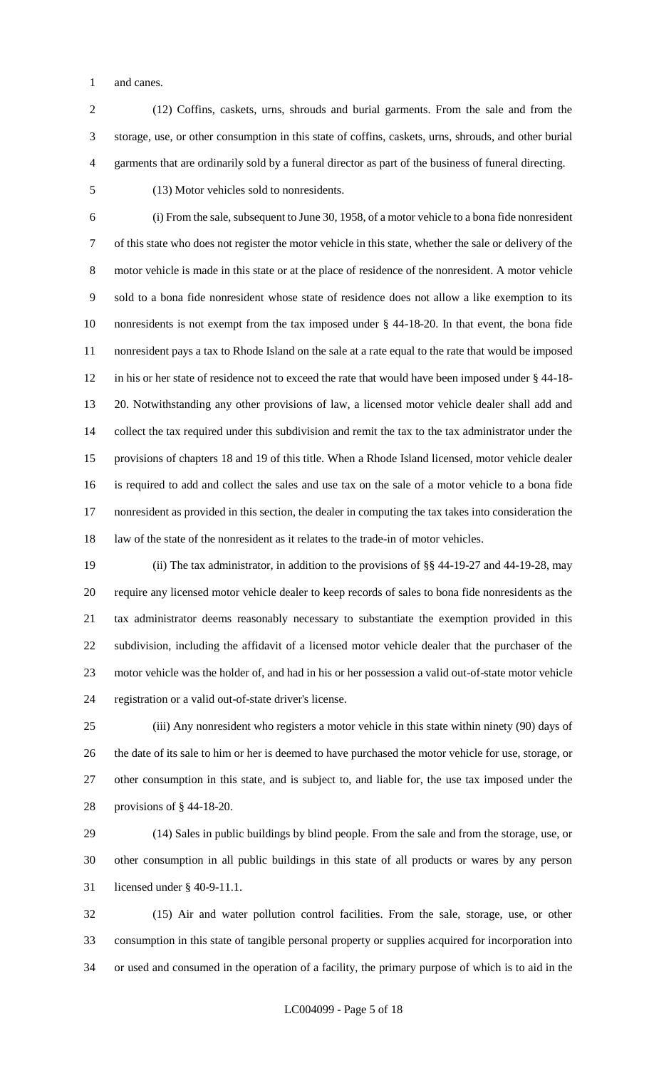and canes.

- (12) Coffins, caskets, urns, shrouds and burial garments. From the sale and from the storage, use, or other consumption in this state of coffins, caskets, urns, shrouds, and other burial garments that are ordinarily sold by a funeral director as part of the business of funeral directing.
- 

(13) Motor vehicles sold to nonresidents.

 (i) From the sale, subsequent to June 30, 1958, of a motor vehicle to a bona fide nonresident of this state who does not register the motor vehicle in this state, whether the sale or delivery of the motor vehicle is made in this state or at the place of residence of the nonresident. A motor vehicle sold to a bona fide nonresident whose state of residence does not allow a like exemption to its nonresidents is not exempt from the tax imposed under § 44-18-20. In that event, the bona fide nonresident pays a tax to Rhode Island on the sale at a rate equal to the rate that would be imposed in his or her state of residence not to exceed the rate that would have been imposed under § 44-18- 20. Notwithstanding any other provisions of law, a licensed motor vehicle dealer shall add and collect the tax required under this subdivision and remit the tax to the tax administrator under the provisions of chapters 18 and 19 of this title. When a Rhode Island licensed, motor vehicle dealer is required to add and collect the sales and use tax on the sale of a motor vehicle to a bona fide nonresident as provided in this section, the dealer in computing the tax takes into consideration the law of the state of the nonresident as it relates to the trade-in of motor vehicles.

 (ii) The tax administrator, in addition to the provisions of §§ 44-19-27 and 44-19-28, may require any licensed motor vehicle dealer to keep records of sales to bona fide nonresidents as the tax administrator deems reasonably necessary to substantiate the exemption provided in this subdivision, including the affidavit of a licensed motor vehicle dealer that the purchaser of the motor vehicle was the holder of, and had in his or her possession a valid out-of-state motor vehicle registration or a valid out-of-state driver's license.

 (iii) Any nonresident who registers a motor vehicle in this state within ninety (90) days of the date of its sale to him or her is deemed to have purchased the motor vehicle for use, storage, or other consumption in this state, and is subject to, and liable for, the use tax imposed under the provisions of § 44-18-20.

 (14) Sales in public buildings by blind people. From the sale and from the storage, use, or other consumption in all public buildings in this state of all products or wares by any person licensed under § 40-9-11.1.

 (15) Air and water pollution control facilities. From the sale, storage, use, or other consumption in this state of tangible personal property or supplies acquired for incorporation into or used and consumed in the operation of a facility, the primary purpose of which is to aid in the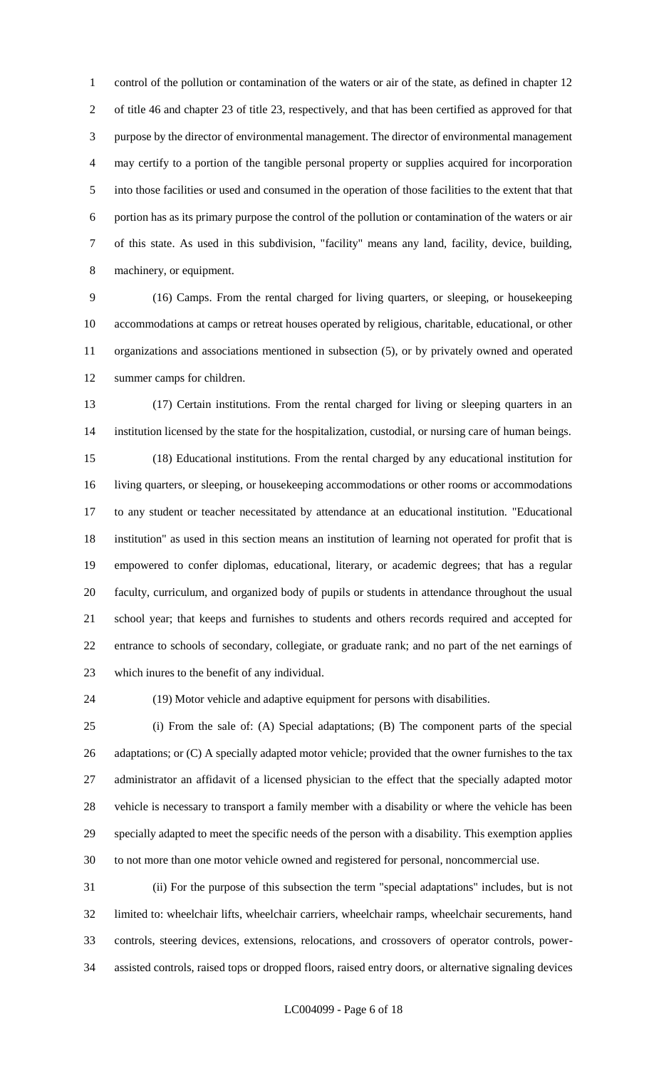control of the pollution or contamination of the waters or air of the state, as defined in chapter 12 of title 46 and chapter 23 of title 23, respectively, and that has been certified as approved for that purpose by the director of environmental management. The director of environmental management may certify to a portion of the tangible personal property or supplies acquired for incorporation into those facilities or used and consumed in the operation of those facilities to the extent that that portion has as its primary purpose the control of the pollution or contamination of the waters or air of this state. As used in this subdivision, "facility" means any land, facility, device, building, machinery, or equipment.

 (16) Camps. From the rental charged for living quarters, or sleeping, or housekeeping accommodations at camps or retreat houses operated by religious, charitable, educational, or other organizations and associations mentioned in subsection (5), or by privately owned and operated summer camps for children.

 (17) Certain institutions. From the rental charged for living or sleeping quarters in an institution licensed by the state for the hospitalization, custodial, or nursing care of human beings. (18) Educational institutions. From the rental charged by any educational institution for living quarters, or sleeping, or housekeeping accommodations or other rooms or accommodations to any student or teacher necessitated by attendance at an educational institution. "Educational institution" as used in this section means an institution of learning not operated for profit that is empowered to confer diplomas, educational, literary, or academic degrees; that has a regular faculty, curriculum, and organized body of pupils or students in attendance throughout the usual school year; that keeps and furnishes to students and others records required and accepted for entrance to schools of secondary, collegiate, or graduate rank; and no part of the net earnings of which inures to the benefit of any individual.

(19) Motor vehicle and adaptive equipment for persons with disabilities.

 (i) From the sale of: (A) Special adaptations; (B) The component parts of the special 26 adaptations; or (C) A specially adapted motor vehicle; provided that the owner furnishes to the tax administrator an affidavit of a licensed physician to the effect that the specially adapted motor vehicle is necessary to transport a family member with a disability or where the vehicle has been specially adapted to meet the specific needs of the person with a disability. This exemption applies to not more than one motor vehicle owned and registered for personal, noncommercial use.

 (ii) For the purpose of this subsection the term "special adaptations" includes, but is not limited to: wheelchair lifts, wheelchair carriers, wheelchair ramps, wheelchair securements, hand controls, steering devices, extensions, relocations, and crossovers of operator controls, power-assisted controls, raised tops or dropped floors, raised entry doors, or alternative signaling devices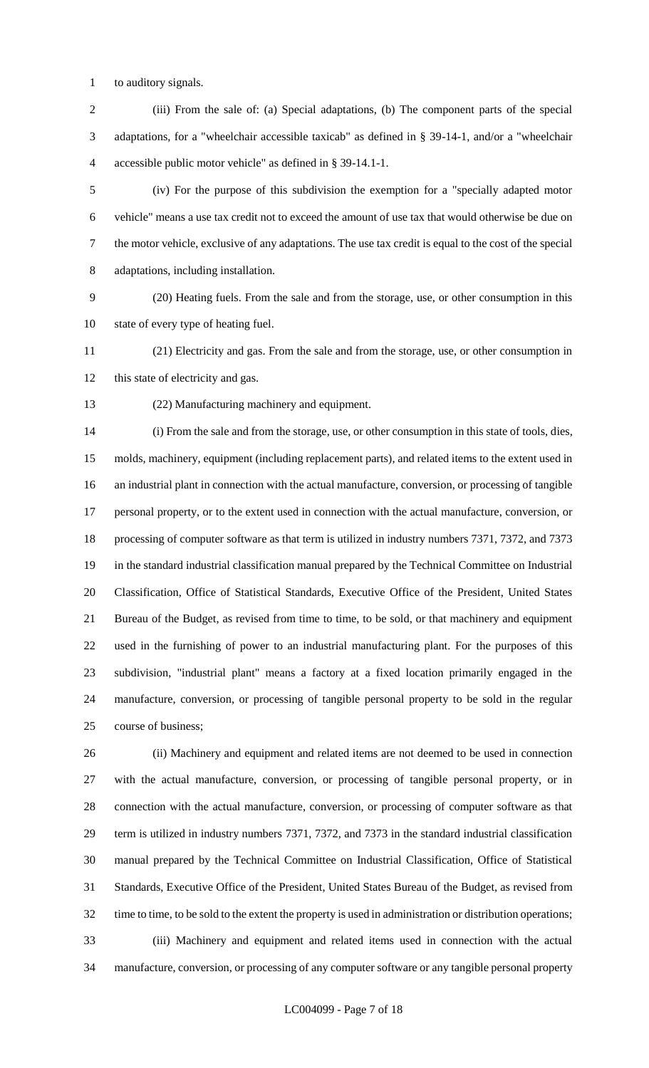to auditory signals.

 (iii) From the sale of: (a) Special adaptations, (b) The component parts of the special adaptations, for a "wheelchair accessible taxicab" as defined in § 39-14-1, and/or a "wheelchair accessible public motor vehicle" as defined in § 39-14.1-1.

 (iv) For the purpose of this subdivision the exemption for a "specially adapted motor vehicle" means a use tax credit not to exceed the amount of use tax that would otherwise be due on the motor vehicle, exclusive of any adaptations. The use tax credit is equal to the cost of the special adaptations, including installation.

 (20) Heating fuels. From the sale and from the storage, use, or other consumption in this state of every type of heating fuel.

 (21) Electricity and gas. From the sale and from the storage, use, or other consumption in this state of electricity and gas.

(22) Manufacturing machinery and equipment.

 (i) From the sale and from the storage, use, or other consumption in this state of tools, dies, molds, machinery, equipment (including replacement parts), and related items to the extent used in an industrial plant in connection with the actual manufacture, conversion, or processing of tangible personal property, or to the extent used in connection with the actual manufacture, conversion, or processing of computer software as that term is utilized in industry numbers 7371, 7372, and 7373 in the standard industrial classification manual prepared by the Technical Committee on Industrial Classification, Office of Statistical Standards, Executive Office of the President, United States Bureau of the Budget, as revised from time to time, to be sold, or that machinery and equipment used in the furnishing of power to an industrial manufacturing plant. For the purposes of this subdivision, "industrial plant" means a factory at a fixed location primarily engaged in the manufacture, conversion, or processing of tangible personal property to be sold in the regular course of business;

 (ii) Machinery and equipment and related items are not deemed to be used in connection with the actual manufacture, conversion, or processing of tangible personal property, or in connection with the actual manufacture, conversion, or processing of computer software as that term is utilized in industry numbers 7371, 7372, and 7373 in the standard industrial classification manual prepared by the Technical Committee on Industrial Classification, Office of Statistical Standards, Executive Office of the President, United States Bureau of the Budget, as revised from time to time, to be sold to the extent the property is used in administration or distribution operations; (iii) Machinery and equipment and related items used in connection with the actual manufacture, conversion, or processing of any computer software or any tangible personal property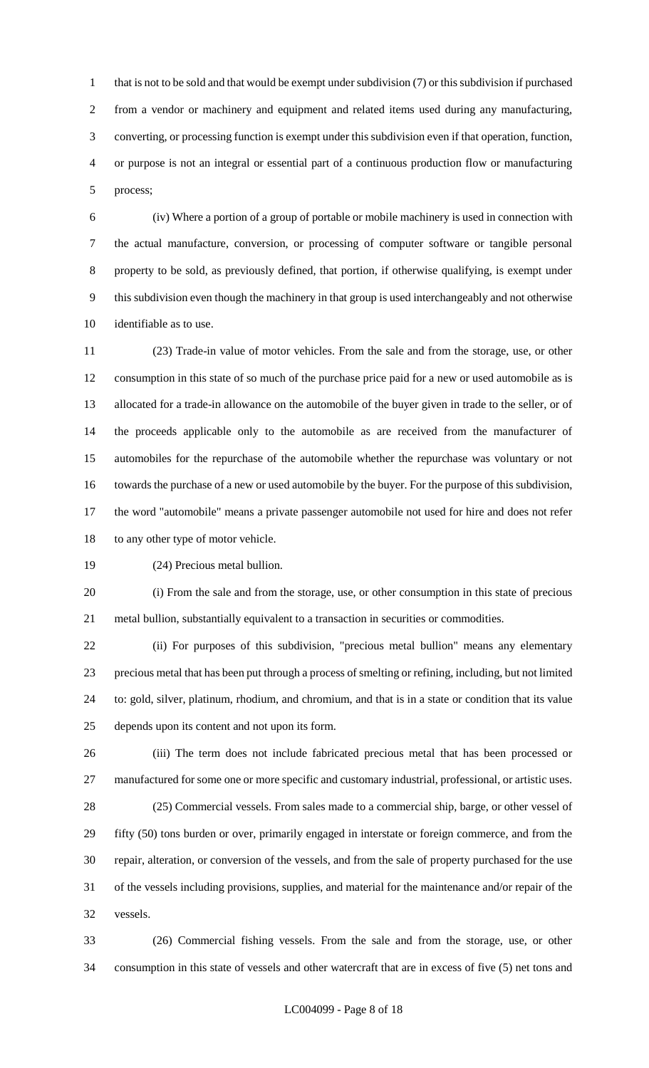1 that is not to be sold and that would be exempt under subdivision (7) or this subdivision if purchased from a vendor or machinery and equipment and related items used during any manufacturing, converting, or processing function is exempt under this subdivision even if that operation, function, or purpose is not an integral or essential part of a continuous production flow or manufacturing process;

 (iv) Where a portion of a group of portable or mobile machinery is used in connection with the actual manufacture, conversion, or processing of computer software or tangible personal property to be sold, as previously defined, that portion, if otherwise qualifying, is exempt under this subdivision even though the machinery in that group is used interchangeably and not otherwise identifiable as to use.

 (23) Trade-in value of motor vehicles. From the sale and from the storage, use, or other consumption in this state of so much of the purchase price paid for a new or used automobile as is allocated for a trade-in allowance on the automobile of the buyer given in trade to the seller, or of the proceeds applicable only to the automobile as are received from the manufacturer of automobiles for the repurchase of the automobile whether the repurchase was voluntary or not towards the purchase of a new or used automobile by the buyer. For the purpose of this subdivision, the word "automobile" means a private passenger automobile not used for hire and does not refer to any other type of motor vehicle.

(24) Precious metal bullion.

 (i) From the sale and from the storage, use, or other consumption in this state of precious metal bullion, substantially equivalent to a transaction in securities or commodities.

 (ii) For purposes of this subdivision, "precious metal bullion" means any elementary precious metal that has been put through a process of smelting or refining, including, but not limited to: gold, silver, platinum, rhodium, and chromium, and that is in a state or condition that its value depends upon its content and not upon its form.

 (iii) The term does not include fabricated precious metal that has been processed or manufactured for some one or more specific and customary industrial, professional, or artistic uses. (25) Commercial vessels. From sales made to a commercial ship, barge, or other vessel of fifty (50) tons burden or over, primarily engaged in interstate or foreign commerce, and from the repair, alteration, or conversion of the vessels, and from the sale of property purchased for the use of the vessels including provisions, supplies, and material for the maintenance and/or repair of the vessels.

 (26) Commercial fishing vessels. From the sale and from the storage, use, or other consumption in this state of vessels and other watercraft that are in excess of five (5) net tons and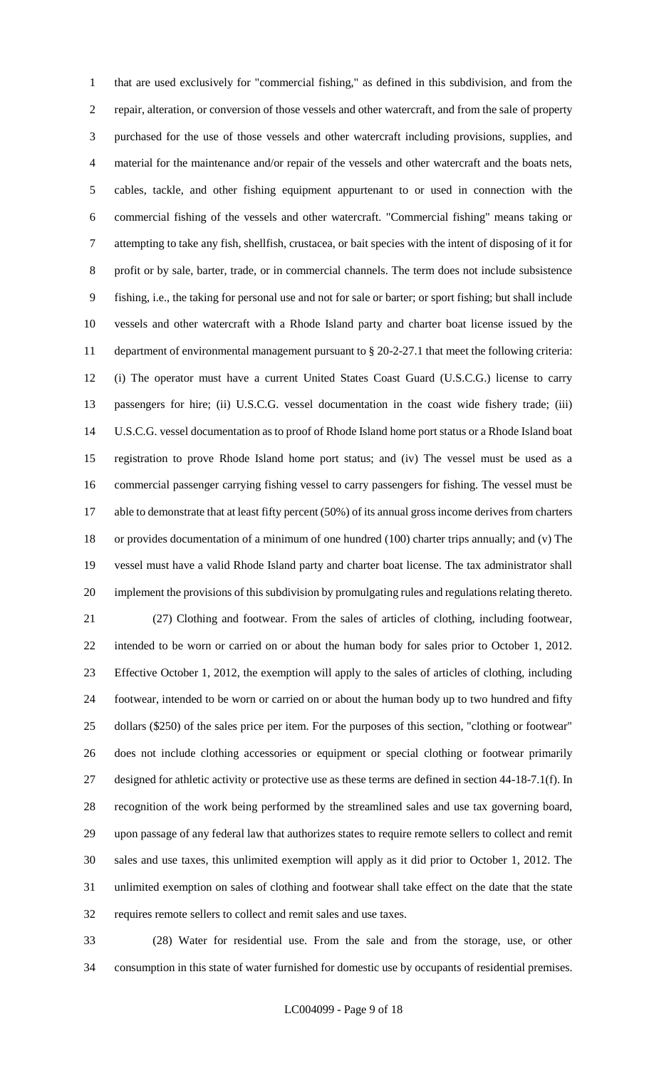that are used exclusively for "commercial fishing," as defined in this subdivision, and from the repair, alteration, or conversion of those vessels and other watercraft, and from the sale of property purchased for the use of those vessels and other watercraft including provisions, supplies, and material for the maintenance and/or repair of the vessels and other watercraft and the boats nets, cables, tackle, and other fishing equipment appurtenant to or used in connection with the commercial fishing of the vessels and other watercraft. "Commercial fishing" means taking or attempting to take any fish, shellfish, crustacea, or bait species with the intent of disposing of it for profit or by sale, barter, trade, or in commercial channels. The term does not include subsistence fishing, i.e., the taking for personal use and not for sale or barter; or sport fishing; but shall include vessels and other watercraft with a Rhode Island party and charter boat license issued by the department of environmental management pursuant to § 20-2-27.1 that meet the following criteria: (i) The operator must have a current United States Coast Guard (U.S.C.G.) license to carry passengers for hire; (ii) U.S.C.G. vessel documentation in the coast wide fishery trade; (iii) U.S.C.G. vessel documentation as to proof of Rhode Island home port status or a Rhode Island boat registration to prove Rhode Island home port status; and (iv) The vessel must be used as a commercial passenger carrying fishing vessel to carry passengers for fishing. The vessel must be 17 able to demonstrate that at least fifty percent (50%) of its annual gross income derives from charters or provides documentation of a minimum of one hundred (100) charter trips annually; and (v) The vessel must have a valid Rhode Island party and charter boat license. The tax administrator shall implement the provisions of this subdivision by promulgating rules and regulations relating thereto. (27) Clothing and footwear. From the sales of articles of clothing, including footwear, intended to be worn or carried on or about the human body for sales prior to October 1, 2012. Effective October 1, 2012, the exemption will apply to the sales of articles of clothing, including footwear, intended to be worn or carried on or about the human body up to two hundred and fifty dollars (\$250) of the sales price per item. For the purposes of this section, "clothing or footwear" does not include clothing accessories or equipment or special clothing or footwear primarily designed for athletic activity or protective use as these terms are defined in section 44-18-7.1(f). In recognition of the work being performed by the streamlined sales and use tax governing board, upon passage of any federal law that authorizes states to require remote sellers to collect and remit sales and use taxes, this unlimited exemption will apply as it did prior to October 1, 2012. The unlimited exemption on sales of clothing and footwear shall take effect on the date that the state requires remote sellers to collect and remit sales and use taxes.

 (28) Water for residential use. From the sale and from the storage, use, or other consumption in this state of water furnished for domestic use by occupants of residential premises.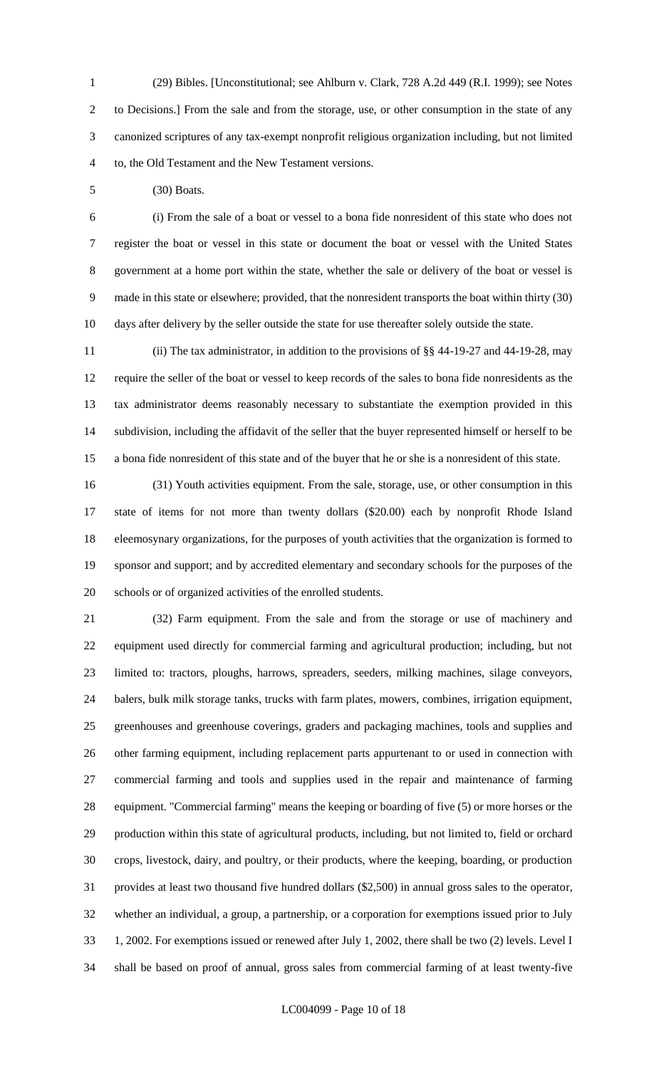(29) Bibles. [Unconstitutional; see Ahlburn v. Clark, 728 A.2d 449 (R.I. 1999); see Notes to Decisions.] From the sale and from the storage, use, or other consumption in the state of any canonized scriptures of any tax-exempt nonprofit religious organization including, but not limited to, the Old Testament and the New Testament versions.

(30) Boats.

 (i) From the sale of a boat or vessel to a bona fide nonresident of this state who does not register the boat or vessel in this state or document the boat or vessel with the United States government at a home port within the state, whether the sale or delivery of the boat or vessel is made in this state or elsewhere; provided, that the nonresident transports the boat within thirty (30) days after delivery by the seller outside the state for use thereafter solely outside the state.

 (ii) The tax administrator, in addition to the provisions of §§ 44-19-27 and 44-19-28, may require the seller of the boat or vessel to keep records of the sales to bona fide nonresidents as the tax administrator deems reasonably necessary to substantiate the exemption provided in this subdivision, including the affidavit of the seller that the buyer represented himself or herself to be a bona fide nonresident of this state and of the buyer that he or she is a nonresident of this state.

 (31) Youth activities equipment. From the sale, storage, use, or other consumption in this state of items for not more than twenty dollars (\$20.00) each by nonprofit Rhode Island eleemosynary organizations, for the purposes of youth activities that the organization is formed to sponsor and support; and by accredited elementary and secondary schools for the purposes of the schools or of organized activities of the enrolled students.

 (32) Farm equipment. From the sale and from the storage or use of machinery and equipment used directly for commercial farming and agricultural production; including, but not limited to: tractors, ploughs, harrows, spreaders, seeders, milking machines, silage conveyors, balers, bulk milk storage tanks, trucks with farm plates, mowers, combines, irrigation equipment, greenhouses and greenhouse coverings, graders and packaging machines, tools and supplies and other farming equipment, including replacement parts appurtenant to or used in connection with commercial farming and tools and supplies used in the repair and maintenance of farming equipment. "Commercial farming" means the keeping or boarding of five (5) or more horses or the production within this state of agricultural products, including, but not limited to, field or orchard crops, livestock, dairy, and poultry, or their products, where the keeping, boarding, or production provides at least two thousand five hundred dollars (\$2,500) in annual gross sales to the operator, whether an individual, a group, a partnership, or a corporation for exemptions issued prior to July 1, 2002. For exemptions issued or renewed after July 1, 2002, there shall be two (2) levels. Level I shall be based on proof of annual, gross sales from commercial farming of at least twenty-five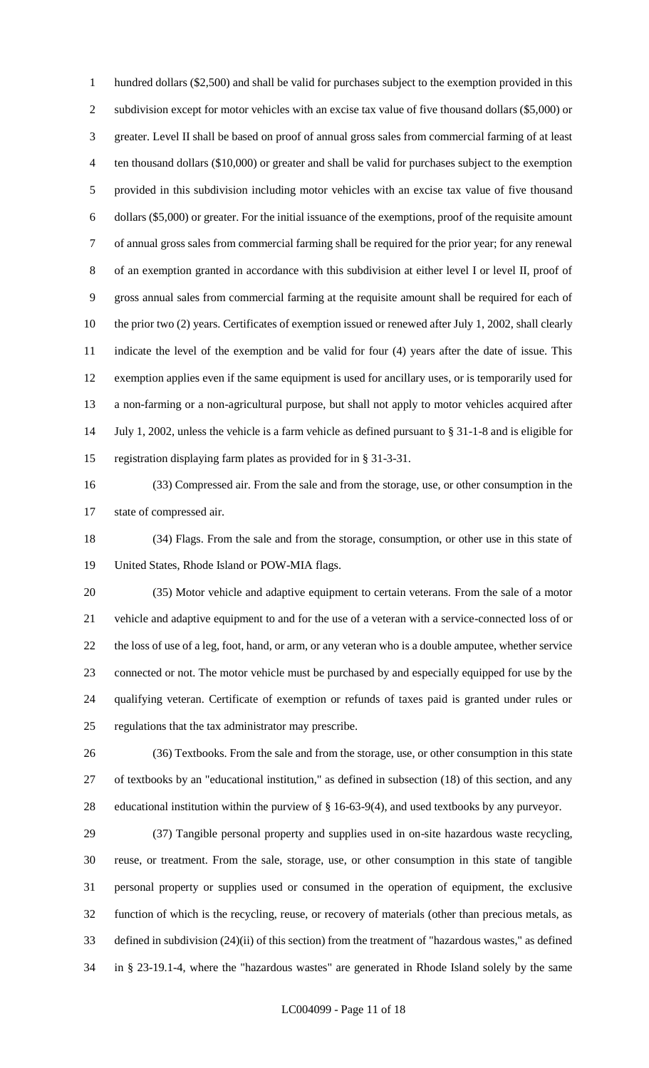hundred dollars (\$2,500) and shall be valid for purchases subject to the exemption provided in this 2 subdivision except for motor vehicles with an excise tax value of five thousand dollars (\$5,000) or greater. Level II shall be based on proof of annual gross sales from commercial farming of at least ten thousand dollars (\$10,000) or greater and shall be valid for purchases subject to the exemption provided in this subdivision including motor vehicles with an excise tax value of five thousand dollars (\$5,000) or greater. For the initial issuance of the exemptions, proof of the requisite amount of annual gross sales from commercial farming shall be required for the prior year; for any renewal of an exemption granted in accordance with this subdivision at either level I or level II, proof of gross annual sales from commercial farming at the requisite amount shall be required for each of 10 the prior two (2) years. Certificates of exemption issued or renewed after July 1, 2002, shall clearly indicate the level of the exemption and be valid for four (4) years after the date of issue. This exemption applies even if the same equipment is used for ancillary uses, or is temporarily used for a non-farming or a non-agricultural purpose, but shall not apply to motor vehicles acquired after July 1, 2002, unless the vehicle is a farm vehicle as defined pursuant to § 31-1-8 and is eligible for registration displaying farm plates as provided for in § 31-3-31.

 (33) Compressed air. From the sale and from the storage, use, or other consumption in the state of compressed air.

 (34) Flags. From the sale and from the storage, consumption, or other use in this state of United States, Rhode Island or POW-MIA flags.

 (35) Motor vehicle and adaptive equipment to certain veterans. From the sale of a motor vehicle and adaptive equipment to and for the use of a veteran with a service-connected loss of or the loss of use of a leg, foot, hand, or arm, or any veteran who is a double amputee, whether service connected or not. The motor vehicle must be purchased by and especially equipped for use by the qualifying veteran. Certificate of exemption or refunds of taxes paid is granted under rules or regulations that the tax administrator may prescribe.

 (36) Textbooks. From the sale and from the storage, use, or other consumption in this state of textbooks by an "educational institution," as defined in subsection (18) of this section, and any educational institution within the purview of § 16-63-9(4), and used textbooks by any purveyor.

 (37) Tangible personal property and supplies used in on-site hazardous waste recycling, reuse, or treatment. From the sale, storage, use, or other consumption in this state of tangible personal property or supplies used or consumed in the operation of equipment, the exclusive function of which is the recycling, reuse, or recovery of materials (other than precious metals, as defined in subdivision (24)(ii) of this section) from the treatment of "hazardous wastes," as defined in § 23-19.1-4, where the "hazardous wastes" are generated in Rhode Island solely by the same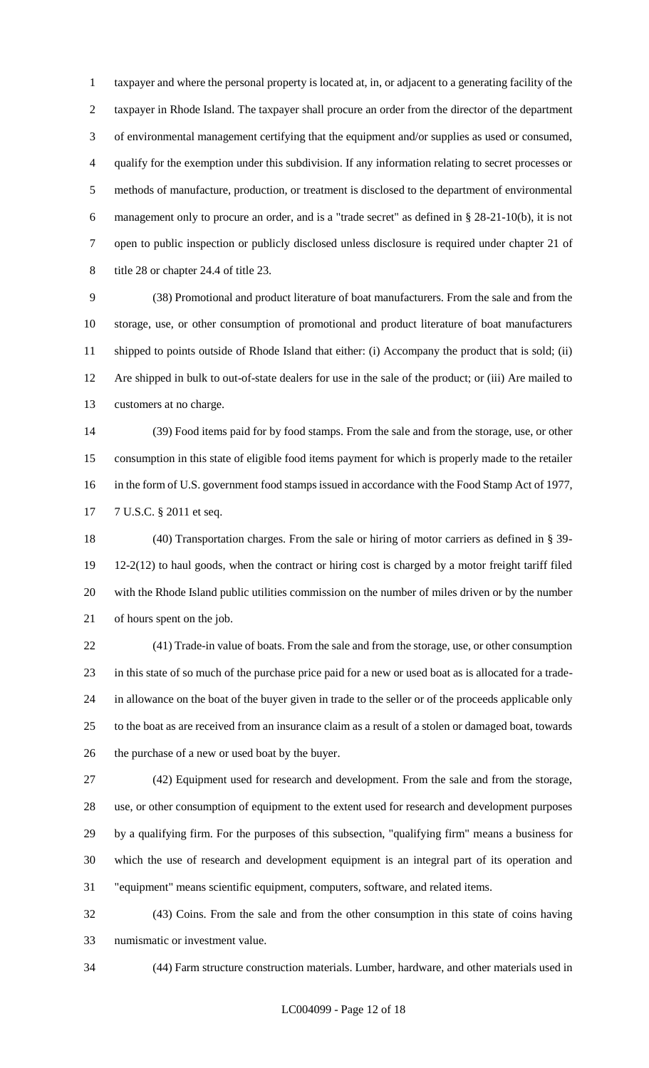taxpayer and where the personal property is located at, in, or adjacent to a generating facility of the taxpayer in Rhode Island. The taxpayer shall procure an order from the director of the department of environmental management certifying that the equipment and/or supplies as used or consumed, qualify for the exemption under this subdivision. If any information relating to secret processes or methods of manufacture, production, or treatment is disclosed to the department of environmental management only to procure an order, and is a "trade secret" as defined in § 28-21-10(b), it is not open to public inspection or publicly disclosed unless disclosure is required under chapter 21 of title 28 or chapter 24.4 of title 23.

 (38) Promotional and product literature of boat manufacturers. From the sale and from the storage, use, or other consumption of promotional and product literature of boat manufacturers shipped to points outside of Rhode Island that either: (i) Accompany the product that is sold; (ii) Are shipped in bulk to out-of-state dealers for use in the sale of the product; or (iii) Are mailed to customers at no charge.

 (39) Food items paid for by food stamps. From the sale and from the storage, use, or other consumption in this state of eligible food items payment for which is properly made to the retailer in the form of U.S. government food stamps issued in accordance with the Food Stamp Act of 1977, 7 U.S.C. § 2011 et seq.

 (40) Transportation charges. From the sale or hiring of motor carriers as defined in § 39- 12-2(12) to haul goods, when the contract or hiring cost is charged by a motor freight tariff filed with the Rhode Island public utilities commission on the number of miles driven or by the number of hours spent on the job.

 (41) Trade-in value of boats. From the sale and from the storage, use, or other consumption in this state of so much of the purchase price paid for a new or used boat as is allocated for a trade- in allowance on the boat of the buyer given in trade to the seller or of the proceeds applicable only to the boat as are received from an insurance claim as a result of a stolen or damaged boat, towards the purchase of a new or used boat by the buyer.

 (42) Equipment used for research and development. From the sale and from the storage, use, or other consumption of equipment to the extent used for research and development purposes by a qualifying firm. For the purposes of this subsection, "qualifying firm" means a business for which the use of research and development equipment is an integral part of its operation and "equipment" means scientific equipment, computers, software, and related items.

 (43) Coins. From the sale and from the other consumption in this state of coins having numismatic or investment value.

(44) Farm structure construction materials. Lumber, hardware, and other materials used in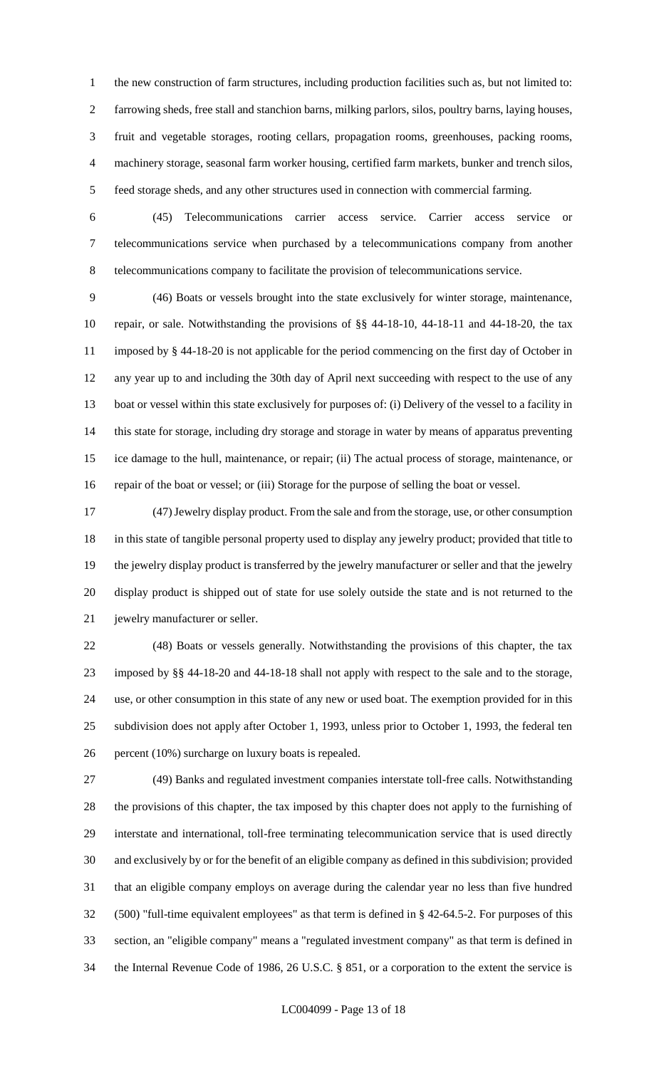the new construction of farm structures, including production facilities such as, but not limited to: farrowing sheds, free stall and stanchion barns, milking parlors, silos, poultry barns, laying houses, fruit and vegetable storages, rooting cellars, propagation rooms, greenhouses, packing rooms, machinery storage, seasonal farm worker housing, certified farm markets, bunker and trench silos, feed storage sheds, and any other structures used in connection with commercial farming.

 (45) Telecommunications carrier access service. Carrier access service or telecommunications service when purchased by a telecommunications company from another telecommunications company to facilitate the provision of telecommunications service.

 (46) Boats or vessels brought into the state exclusively for winter storage, maintenance, repair, or sale. Notwithstanding the provisions of §§ 44-18-10, 44-18-11 and 44-18-20, the tax imposed by § 44-18-20 is not applicable for the period commencing on the first day of October in any year up to and including the 30th day of April next succeeding with respect to the use of any boat or vessel within this state exclusively for purposes of: (i) Delivery of the vessel to a facility in this state for storage, including dry storage and storage in water by means of apparatus preventing ice damage to the hull, maintenance, or repair; (ii) The actual process of storage, maintenance, or repair of the boat or vessel; or (iii) Storage for the purpose of selling the boat or vessel.

 (47) Jewelry display product. From the sale and from the storage, use, or other consumption in this state of tangible personal property used to display any jewelry product; provided that title to the jewelry display product is transferred by the jewelry manufacturer or seller and that the jewelry display product is shipped out of state for use solely outside the state and is not returned to the jewelry manufacturer or seller.

 (48) Boats or vessels generally. Notwithstanding the provisions of this chapter, the tax imposed by §§ 44-18-20 and 44-18-18 shall not apply with respect to the sale and to the storage, use, or other consumption in this state of any new or used boat. The exemption provided for in this subdivision does not apply after October 1, 1993, unless prior to October 1, 1993, the federal ten percent (10%) surcharge on luxury boats is repealed.

 (49) Banks and regulated investment companies interstate toll-free calls. Notwithstanding the provisions of this chapter, the tax imposed by this chapter does not apply to the furnishing of interstate and international, toll-free terminating telecommunication service that is used directly and exclusively by or for the benefit of an eligible company as defined in this subdivision; provided that an eligible company employs on average during the calendar year no less than five hundred (500) "full-time equivalent employees" as that term is defined in § 42-64.5-2. For purposes of this section, an "eligible company" means a "regulated investment company" as that term is defined in the Internal Revenue Code of 1986, 26 U.S.C. § 851, or a corporation to the extent the service is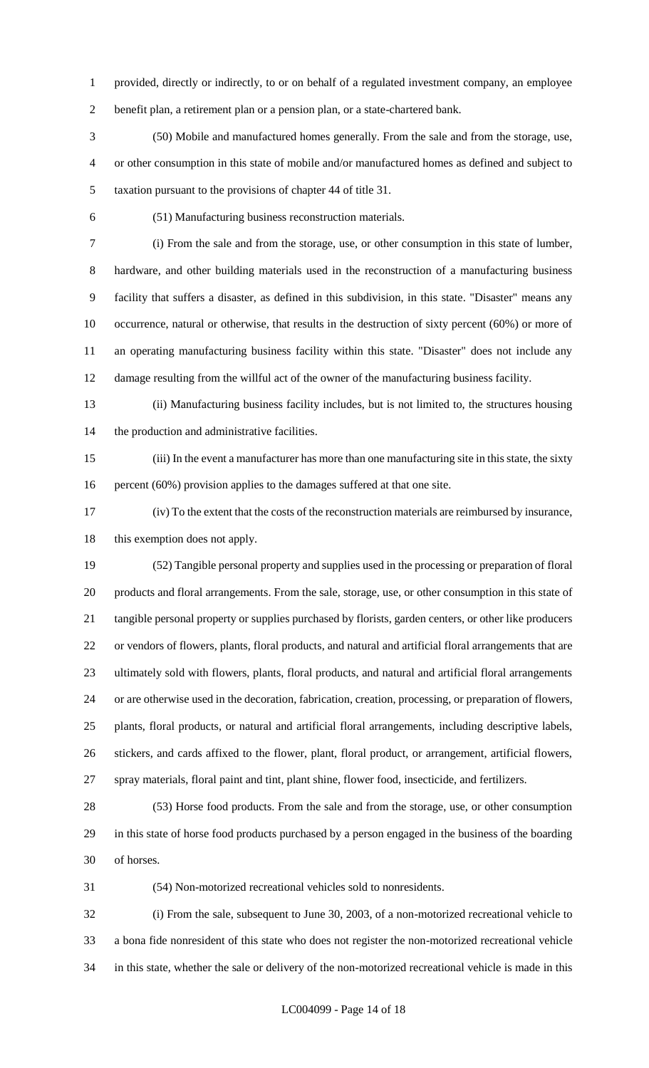provided, directly or indirectly, to or on behalf of a regulated investment company, an employee benefit plan, a retirement plan or a pension plan, or a state-chartered bank.

 (50) Mobile and manufactured homes generally. From the sale and from the storage, use, or other consumption in this state of mobile and/or manufactured homes as defined and subject to taxation pursuant to the provisions of chapter 44 of title 31.

(51) Manufacturing business reconstruction materials.

 (i) From the sale and from the storage, use, or other consumption in this state of lumber, hardware, and other building materials used in the reconstruction of a manufacturing business facility that suffers a disaster, as defined in this subdivision, in this state. "Disaster" means any occurrence, natural or otherwise, that results in the destruction of sixty percent (60%) or more of an operating manufacturing business facility within this state. "Disaster" does not include any damage resulting from the willful act of the owner of the manufacturing business facility.

 (ii) Manufacturing business facility includes, but is not limited to, the structures housing the production and administrative facilities.

 (iii) In the event a manufacturer has more than one manufacturing site in this state, the sixty 16 percent (60%) provision applies to the damages suffered at that one site.

 (iv) To the extent that the costs of the reconstruction materials are reimbursed by insurance, this exemption does not apply.

 (52) Tangible personal property and supplies used in the processing or preparation of floral products and floral arrangements. From the sale, storage, use, or other consumption in this state of tangible personal property or supplies purchased by florists, garden centers, or other like producers or vendors of flowers, plants, floral products, and natural and artificial floral arrangements that are ultimately sold with flowers, plants, floral products, and natural and artificial floral arrangements or are otherwise used in the decoration, fabrication, creation, processing, or preparation of flowers, plants, floral products, or natural and artificial floral arrangements, including descriptive labels, stickers, and cards affixed to the flower, plant, floral product, or arrangement, artificial flowers, spray materials, floral paint and tint, plant shine, flower food, insecticide, and fertilizers.

 (53) Horse food products. From the sale and from the storage, use, or other consumption in this state of horse food products purchased by a person engaged in the business of the boarding of horses.

(54) Non-motorized recreational vehicles sold to nonresidents.

 (i) From the sale, subsequent to June 30, 2003, of a non-motorized recreational vehicle to a bona fide nonresident of this state who does not register the non-motorized recreational vehicle in this state, whether the sale or delivery of the non-motorized recreational vehicle is made in this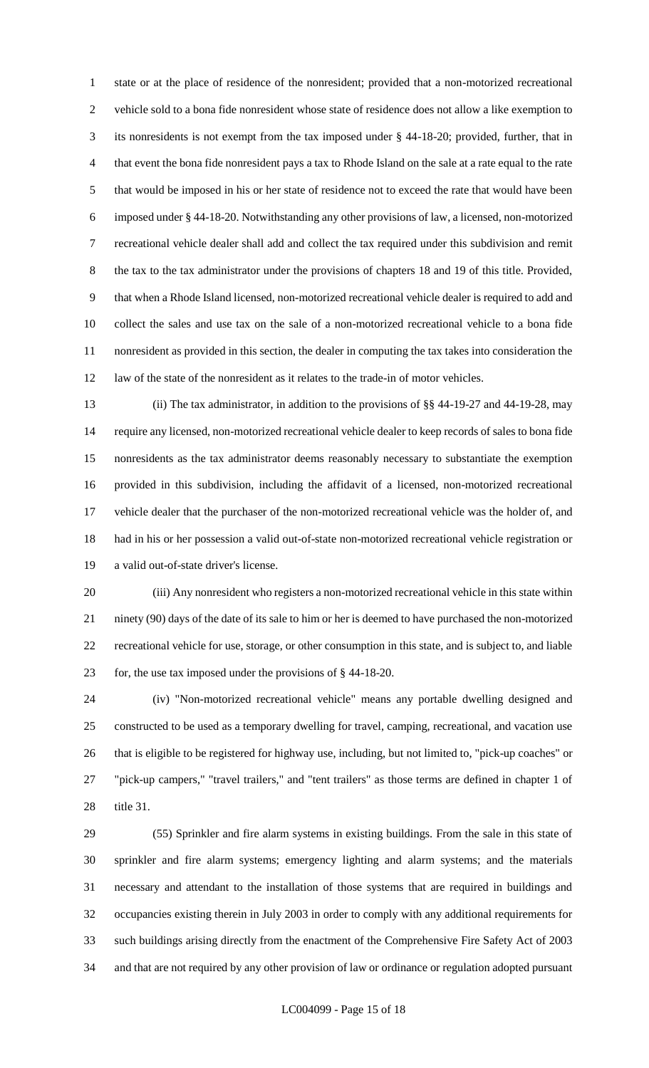state or at the place of residence of the nonresident; provided that a non-motorized recreational vehicle sold to a bona fide nonresident whose state of residence does not allow a like exemption to its nonresidents is not exempt from the tax imposed under § 44-18-20; provided, further, that in that event the bona fide nonresident pays a tax to Rhode Island on the sale at a rate equal to the rate that would be imposed in his or her state of residence not to exceed the rate that would have been imposed under § 44-18-20. Notwithstanding any other provisions of law, a licensed, non-motorized recreational vehicle dealer shall add and collect the tax required under this subdivision and remit the tax to the tax administrator under the provisions of chapters 18 and 19 of this title. Provided, that when a Rhode Island licensed, non-motorized recreational vehicle dealer is required to add and collect the sales and use tax on the sale of a non-motorized recreational vehicle to a bona fide nonresident as provided in this section, the dealer in computing the tax takes into consideration the law of the state of the nonresident as it relates to the trade-in of motor vehicles.

 (ii) The tax administrator, in addition to the provisions of §§ 44-19-27 and 44-19-28, may require any licensed, non-motorized recreational vehicle dealer to keep records of sales to bona fide nonresidents as the tax administrator deems reasonably necessary to substantiate the exemption provided in this subdivision, including the affidavit of a licensed, non-motorized recreational vehicle dealer that the purchaser of the non-motorized recreational vehicle was the holder of, and had in his or her possession a valid out-of-state non-motorized recreational vehicle registration or a valid out-of-state driver's license.

 (iii) Any nonresident who registers a non-motorized recreational vehicle in this state within ninety (90) days of the date of its sale to him or her is deemed to have purchased the non-motorized recreational vehicle for use, storage, or other consumption in this state, and is subject to, and liable for, the use tax imposed under the provisions of § 44-18-20.

 (iv) "Non-motorized recreational vehicle" means any portable dwelling designed and constructed to be used as a temporary dwelling for travel, camping, recreational, and vacation use that is eligible to be registered for highway use, including, but not limited to, "pick-up coaches" or "pick-up campers," "travel trailers," and "tent trailers" as those terms are defined in chapter 1 of title 31.

 (55) Sprinkler and fire alarm systems in existing buildings. From the sale in this state of sprinkler and fire alarm systems; emergency lighting and alarm systems; and the materials necessary and attendant to the installation of those systems that are required in buildings and occupancies existing therein in July 2003 in order to comply with any additional requirements for such buildings arising directly from the enactment of the Comprehensive Fire Safety Act of 2003 and that are not required by any other provision of law or ordinance or regulation adopted pursuant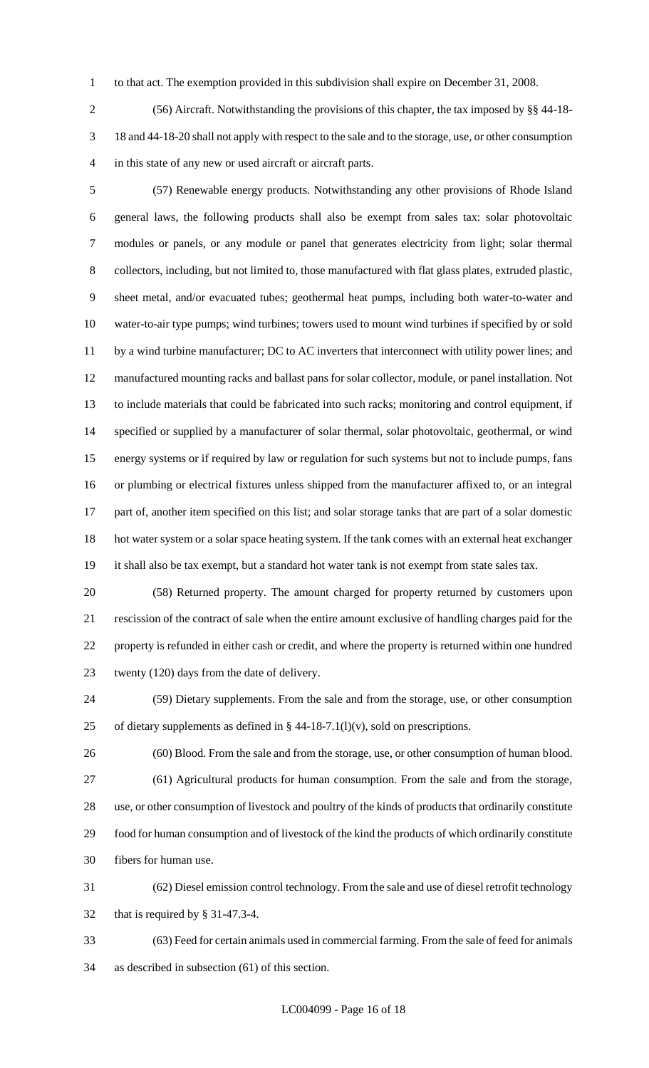to that act. The exemption provided in this subdivision shall expire on December 31, 2008.

 (56) Aircraft. Notwithstanding the provisions of this chapter, the tax imposed by §§ 44-18- 18 and 44-18-20 shall not apply with respect to the sale and to the storage, use, or other consumption in this state of any new or used aircraft or aircraft parts.

 (57) Renewable energy products. Notwithstanding any other provisions of Rhode Island general laws, the following products shall also be exempt from sales tax: solar photovoltaic modules or panels, or any module or panel that generates electricity from light; solar thermal collectors, including, but not limited to, those manufactured with flat glass plates, extruded plastic, sheet metal, and/or evacuated tubes; geothermal heat pumps, including both water-to-water and water-to-air type pumps; wind turbines; towers used to mount wind turbines if specified by or sold 11 by a wind turbine manufacturer; DC to AC inverters that interconnect with utility power lines; and manufactured mounting racks and ballast pans for solar collector, module, or panel installation. Not to include materials that could be fabricated into such racks; monitoring and control equipment, if specified or supplied by a manufacturer of solar thermal, solar photovoltaic, geothermal, or wind energy systems or if required by law or regulation for such systems but not to include pumps, fans or plumbing or electrical fixtures unless shipped from the manufacturer affixed to, or an integral part of, another item specified on this list; and solar storage tanks that are part of a solar domestic hot water system or a solar space heating system. If the tank comes with an external heat exchanger it shall also be tax exempt, but a standard hot water tank is not exempt from state sales tax.

 (58) Returned property. The amount charged for property returned by customers upon rescission of the contract of sale when the entire amount exclusive of handling charges paid for the property is refunded in either cash or credit, and where the property is returned within one hundred twenty (120) days from the date of delivery.

 (59) Dietary supplements. From the sale and from the storage, use, or other consumption 25 of dietary supplements as defined in  $\S$  44-18-7.1(l)(v), sold on prescriptions.

 (60) Blood. From the sale and from the storage, use, or other consumption of human blood. (61) Agricultural products for human consumption. From the sale and from the storage, use, or other consumption of livestock and poultry of the kinds of products that ordinarily constitute food for human consumption and of livestock of the kind the products of which ordinarily constitute fibers for human use.

 (62) Diesel emission control technology. From the sale and use of diesel retrofit technology that is required by § 31-47.3-4.

 (63) Feed for certain animals used in commercial farming. From the sale of feed for animals as described in subsection (61) of this section.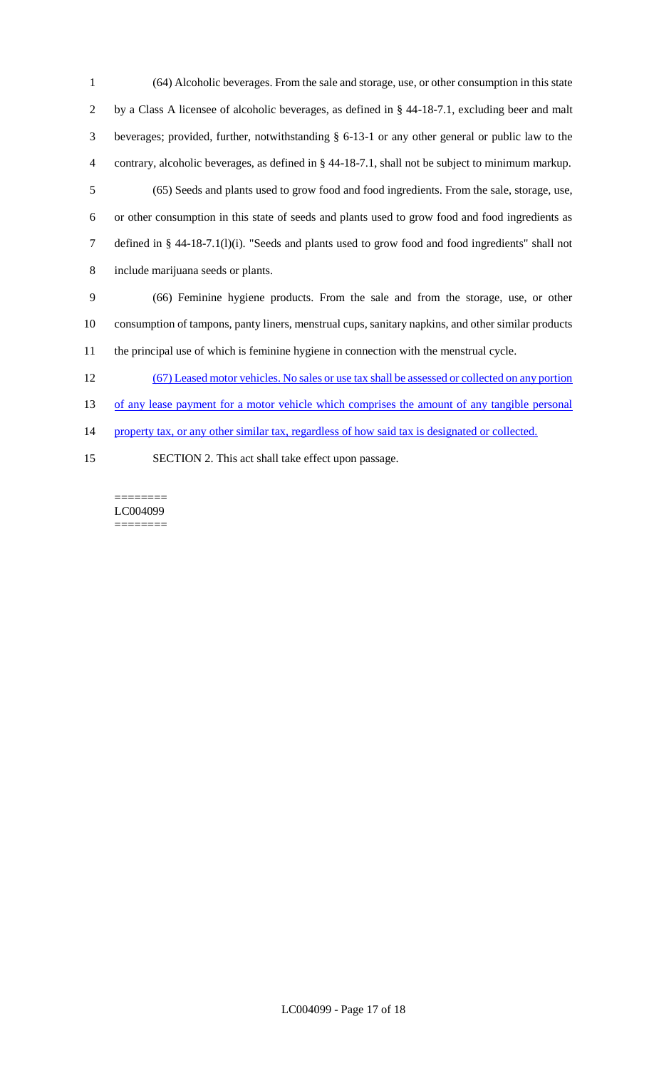(64) Alcoholic beverages. From the sale and storage, use, or other consumption in this state by a Class A licensee of alcoholic beverages, as defined in § 44-18-7.1, excluding beer and malt beverages; provided, further, notwithstanding § 6-13-1 or any other general or public law to the contrary, alcoholic beverages, as defined in § 44-18-7.1, shall not be subject to minimum markup. (65) Seeds and plants used to grow food and food ingredients. From the sale, storage, use, or other consumption in this state of seeds and plants used to grow food and food ingredients as defined in § 44-18-7.1(l)(i). "Seeds and plants used to grow food and food ingredients" shall not include marijuana seeds or plants. (66) Feminine hygiene products. From the sale and from the storage, use, or other consumption of tampons, panty liners, menstrual cups, sanitary napkins, and other similar products the principal use of which is feminine hygiene in connection with the menstrual cycle. (67) Leased motor vehicles. No sales or use tax shall be assessed or collected on any portion 13 of any lease payment for a motor vehicle which comprises the amount of any tangible personal

14 property tax, or any other similar tax, regardless of how said tax is designated or collected.

SECTION 2. This act shall take effect upon passage.

======== LC004099 ========